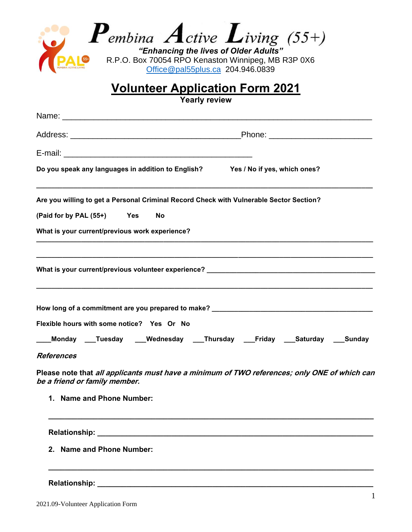

## **Volunteer Application Form 2021**

**Yearly review**

| Name: Name: Name: Name: Name: Name: Name: Name: Name: Name: Name: Name: Name: Name: Name: Name: Name: Name: Name: Name: Name: Name: Name: Name: Name: Name: Name: Name: Name: Name: Name: Name: Name: Name: Name: Name: Name:  |
|--------------------------------------------------------------------------------------------------------------------------------------------------------------------------------------------------------------------------------|
|                                                                                                                                                                                                                                |
|                                                                                                                                                                                                                                |
| Do you speak any languages in addition to English? Yes / No if yes, which ones?                                                                                                                                                |
| Are you willing to get a Personal Criminal Record Check with Vulnerable Sector Section?                                                                                                                                        |
| (Paid for by PAL (55+) Yes<br>No                                                                                                                                                                                               |
| What is your current/previous work experience?                                                                                                                                                                                 |
|                                                                                                                                                                                                                                |
| How long of a commitment are you prepared to make? _____________________________                                                                                                                                               |
| Flexible hours with some notice? Yes Or No                                                                                                                                                                                     |
| _Monday ___Tuesday ___Wednesday ___Thursday ___Friday ___Saturday ___Sunday                                                                                                                                                    |
| <b>References</b>                                                                                                                                                                                                              |
| Please note that all applicants must have a minimum of TWO references; only ONE of which can<br>be a friend or family member.                                                                                                  |
| 1. Name and Phone Number:                                                                                                                                                                                                      |
| Relationship: Network and the state of the state of the state of the state of the state of the state of the state of the state of the state of the state of the state of the state of the state of the state of the state of t |
| <b>Name and Phone Number:</b><br>$2-$                                                                                                                                                                                          |

**\_\_\_\_\_\_\_\_\_\_\_\_\_\_\_\_\_\_\_\_\_\_\_\_\_\_\_\_\_\_\_\_\_\_\_\_\_\_\_\_\_\_\_\_\_\_\_\_\_\_\_\_\_\_\_\_\_\_\_\_\_\_\_\_\_\_\_\_\_\_\_\_\_\_\_\_\_\_\_**

## Relationship: